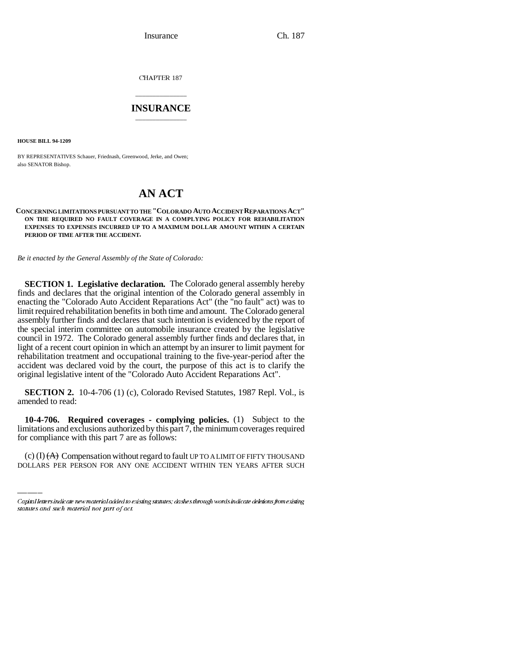Insurance Ch. 187

CHAPTER 187

## \_\_\_\_\_\_\_\_\_\_\_\_\_\_\_ **INSURANCE** \_\_\_\_\_\_\_\_\_\_\_\_\_\_\_

**HOUSE BILL 94-1209**

BY REPRESENTATIVES Schauer, Friednash, Greenwood, Jerke, and Owen; also SENATOR Bishop.

## **AN ACT**

**CONCERNING LIMITATIONS PURSUANT TO THE "COLORADO AUTO ACCIDENT REPARATIONS ACT" ON THE REQUIRED NO FAULT COVERAGE IN A COMPLYING POLICY FOR REHABILITATION EXPENSES TO EXPENSES INCURRED UP TO A MAXIMUM DOLLAR AMOUNT WITHIN A CERTAIN PERIOD OF TIME AFTER THE ACCIDENT.**

*Be it enacted by the General Assembly of the State of Colorado:*

**SECTION 1. Legislative declaration.** The Colorado general assembly hereby finds and declares that the original intention of the Colorado general assembly in enacting the "Colorado Auto Accident Reparations Act" (the "no fault" act) was to limit required rehabilitation benefits in both time and amount. The Colorado general assembly further finds and declares that such intention is evidenced by the report of the special interim committee on automobile insurance created by the legislative council in 1972. The Colorado general assembly further finds and declares that, in light of a recent court opinion in which an attempt by an insurer to limit payment for rehabilitation treatment and occupational training to the five-year-period after the accident was declared void by the court, the purpose of this act is to clarify the original legislative intent of the "Colorado Auto Accident Reparations Act".

**SECTION 2.** 10-4-706 (1) (c), Colorado Revised Statutes, 1987 Repl. Vol., is amended to read:

limitations and exclusions authorized by this part 7, the minimum coverages required **10-4-706. Required coverages - complying policies.** (1) Subject to the for compliance with this part 7 are as follows:

(c)  $(I)$   $(A)$  Compensation without regard to fault UP TO A LIMIT OF FIFTY THOUSAND DOLLARS PER PERSON FOR ANY ONE ACCIDENT WITHIN TEN YEARS AFTER SUCH

Capital letters indicate new material added to existing statutes; dashes through words indicate deletions from existing statutes and such material not part of act.